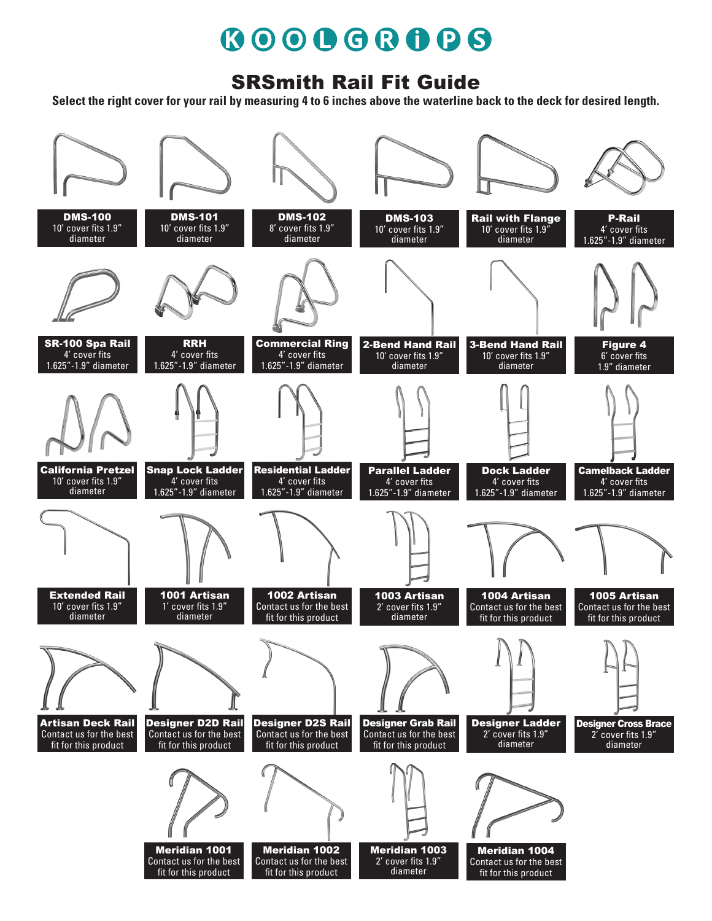# 600068008

#### SRSmith Rail Fit Guide

**Select the right cover for your rail by measuring 4 to 6 inches above the waterline back to the deck for desired length.**